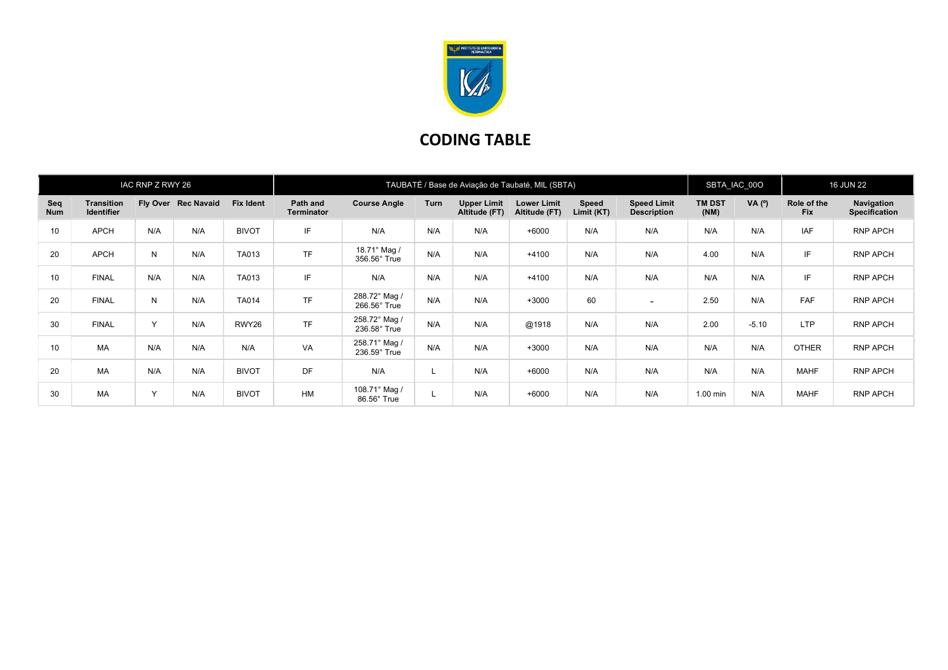

## CODING TABLE

| IAC RNP Z RWY 26 |                                        |           |                     | TAUBATÉ / Base de Aviação de Taubaté, MIL (SBTA) |                               |                               |             |                                     |                                     |                     |                                          | SBTA_IAC_00O          |          | <b>16 JUN 22</b>          |                                    |
|------------------|----------------------------------------|-----------|---------------------|--------------------------------------------------|-------------------------------|-------------------------------|-------------|-------------------------------------|-------------------------------------|---------------------|------------------------------------------|-----------------------|----------|---------------------------|------------------------------------|
| Seq<br>Num       | <b>Transition</b><br><b>Identifier</b> |           | Fly Over Rec Navaid | <b>Fix Ident</b>                                 | Path and<br><b>Terminator</b> | <b>Course Angle</b>           | <b>Turn</b> | <b>Upper Limit</b><br>Altitude (FT) | <b>Lower Limit</b><br>Altitude (FT) | Speed<br>Limit (KT) | <b>Speed Limit</b><br><b>Description</b> | <b>TM DST</b><br>(NM) | VA $(°)$ | Role of the<br><b>Fix</b> | Navigation<br><b>Specification</b> |
| 10               | <b>APCH</b>                            | N/A       | N/A                 | <b>BIVOT</b>                                     | IF                            | N/A                           | N/A         | N/A                                 | $+6000$                             | N/A                 | N/A                                      | N/A                   | N/A      | <b>IAF</b>                | RNP APCH                           |
| 20               | <b>APCH</b>                            | N         | N/A                 | TA013                                            | <b>TF</b>                     | 18.71° Mag /<br>356.56° True  | N/A         | N/A                                 | $+4100$                             | N/A                 | N/A                                      | 4.00                  | N/A      | IF                        | RNP APCH                           |
| 10               | <b>FINAL</b>                           | N/A       | N/A                 | TA013                                            | IF                            | N/A                           | N/A         | N/A                                 | $+4100$                             | N/A                 | N/A                                      | N/A                   | N/A      | IF                        | <b>RNP APCH</b>                    |
| 20               | <b>FINAL</b>                           | N         | N/A                 | TA014                                            | <b>TF</b>                     | 288.72° Mag /<br>266.56° True | N/A         | N/A                                 | $+3000$                             | 60                  | $\sim$                                   | 2.50                  | N/A      | <b>FAF</b>                | RNP APCH                           |
| 30               | <b>FINAL</b>                           | $\vee$    | N/A                 | RWY26                                            | <b>TF</b>                     | 258.72° Mag /<br>236.58° True | N/A         | N/A                                 | @1918                               | N/A                 | N/A                                      | 2.00                  | $-5.10$  | <b>LTP</b>                | RNP APCH                           |
| 10               | <b>MA</b>                              | N/A       | N/A                 | N/A                                              | VA                            | 258.71° Mag /<br>236.59° True | N/A         | N/A                                 | $+3000$                             | N/A                 | N/A                                      | N/A                   | N/A      | <b>OTHER</b>              | <b>RNP APCH</b>                    |
| 20               | MA                                     | N/A       | N/A                 | <b>BIVOT</b>                                     | <b>DF</b>                     | N/A                           |             | N/A                                 | $+6000$                             | N/A                 | N/A                                      | N/A                   | N/A      | <b>MAHF</b>               | <b>RNP APCH</b>                    |
| 30               | MA                                     | $\sqrt{}$ | N/A                 | <b>BIVOT</b>                                     | <b>HM</b>                     | 108.71° Mag /<br>86.56° True  |             | N/A                                 | $+6000$                             | N/A                 | N/A                                      | $1.00$ min            | N/A      | <b>MAHF</b>               | <b>RNP APCH</b>                    |